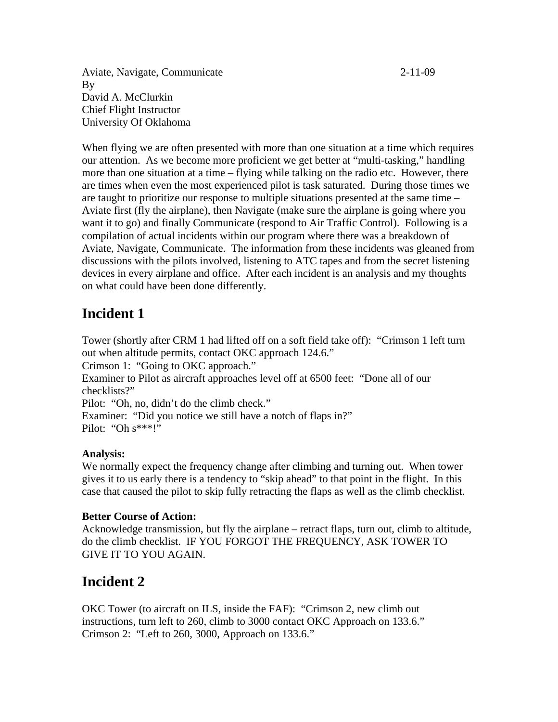Aviate, Navigate, Communicate 2-11-09 By David A. McClurkin Chief Flight Instructor University Of Oklahoma

When flying we are often presented with more than one situation at a time which requires our attention. As we become more proficient we get better at "multi-tasking," handling more than one situation at a time – flying while talking on the radio etc. However, there are times when even the most experienced pilot is task saturated. During those times we are taught to prioritize our response to multiple situations presented at the same time – Aviate first (fly the airplane), then Navigate (make sure the airplane is going where you want it to go) and finally Communicate (respond to Air Traffic Control). Following is a compilation of actual incidents within our program where there was a breakdown of Aviate, Navigate, Communicate. The information from these incidents was gleaned from discussions with the pilots involved, listening to ATC tapes and from the secret listening devices in every airplane and office. After each incident is an analysis and my thoughts on what could have been done differently.

# **Incident 1**

Tower (shortly after CRM 1 had lifted off on a soft field take off): "Crimson 1 left turn out when altitude permits, contact OKC approach 124.6." Crimson 1: "Going to OKC approach." Examiner to Pilot as aircraft approaches level off at 6500 feet: "Done all of our checklists?" Pilot: "Oh, no, didn't do the climb check." Examiner: "Did you notice we still have a notch of flaps in?" Pilot: "Oh s\*\*\*!"

#### **Analysis:**

We normally expect the frequency change after climbing and turning out. When tower gives it to us early there is a tendency to "skip ahead" to that point in the flight. In this case that caused the pilot to skip fully retracting the flaps as well as the climb checklist.

#### **Better Course of Action:**

Acknowledge transmission, but fly the airplane – retract flaps, turn out, climb to altitude, do the climb checklist. IF YOU FORGOT THE FREQUENCY, ASK TOWER TO GIVE IT TO YOU AGAIN.

# **Incident 2**

OKC Tower (to aircraft on ILS, inside the FAF): "Crimson 2, new climb out instructions, turn left to 260, climb to 3000 contact OKC Approach on 133.6." Crimson 2: "Left to 260, 3000, Approach on 133.6."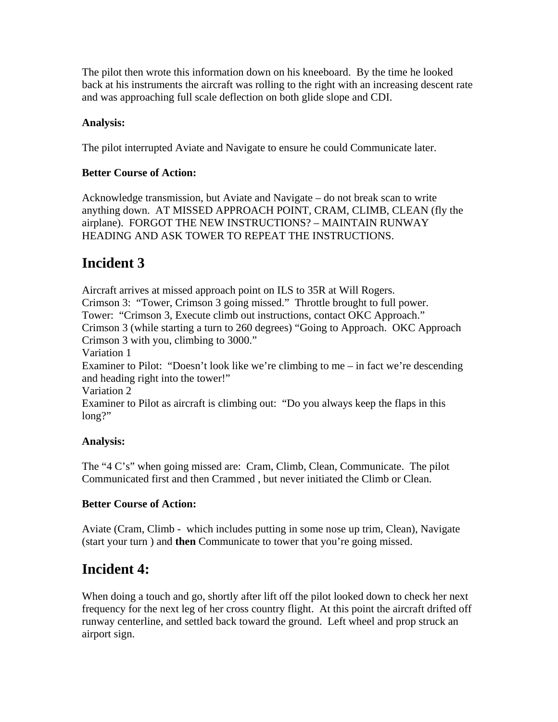The pilot then wrote this information down on his kneeboard. By the time he looked back at his instruments the aircraft was rolling to the right with an increasing descent rate and was approaching full scale deflection on both glide slope and CDI.

#### **Analysis:**

The pilot interrupted Aviate and Navigate to ensure he could Communicate later.

### **Better Course of Action:**

Acknowledge transmission, but Aviate and Navigate – do not break scan to write anything down. AT MISSED APPROACH POINT, CRAM, CLIMB, CLEAN (fly the airplane). FORGOT THE NEW INSTRUCTIONS? – MAINTAIN RUNWAY HEADING AND ASK TOWER TO REPEAT THE INSTRUCTIONS.

# **Incident 3**

Aircraft arrives at missed approach point on ILS to 35R at Will Rogers. Crimson 3: "Tower, Crimson 3 going missed." Throttle brought to full power. Tower: "Crimson 3, Execute climb out instructions, contact OKC Approach." Crimson 3 (while starting a turn to 260 degrees) "Going to Approach. OKC Approach Crimson 3 with you, climbing to 3000." Variation 1 Examiner to Pilot: "Doesn't look like we're climbing to me – in fact we're descending and heading right into the tower!" Variation 2 Examiner to Pilot as aircraft is climbing out: "Do you always keep the flaps in this long?"

### **Analysis:**

The "4 C's" when going missed are: Cram, Climb, Clean, Communicate. The pilot Communicated first and then Crammed , but never initiated the Climb or Clean.

### **Better Course of Action:**

Aviate (Cram, Climb - which includes putting in some nose up trim, Clean), Navigate (start your turn ) and **then** Communicate to tower that you're going missed.

# **Incident 4:**

When doing a touch and go, shortly after lift off the pilot looked down to check her next frequency for the next leg of her cross country flight. At this point the aircraft drifted off runway centerline, and settled back toward the ground. Left wheel and prop struck an airport sign.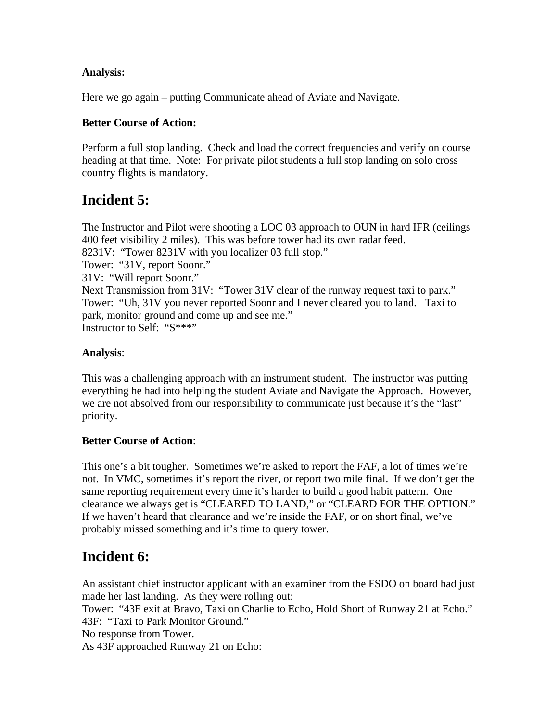#### **Analysis:**

Here we go again – putting Communicate ahead of Aviate and Navigate.

#### **Better Course of Action:**

Perform a full stop landing. Check and load the correct frequencies and verify on course heading at that time. Note: For private pilot students a full stop landing on solo cross country flights is mandatory.

# **Incident 5:**

The Instructor and Pilot were shooting a LOC 03 approach to OUN in hard IFR (ceilings 400 feet visibility 2 miles). This was before tower had its own radar feed. 8231V: "Tower 8231V with you localizer 03 full stop." Tower: "31V, report Soonr." 31V: "Will report Soonr." Next Transmission from 31V: "Tower 31V clear of the runway request taxi to park." Tower: "Uh, 31V you never reported Soonr and I never cleared you to land. Taxi to park, monitor ground and come up and see me." Instructor to Self: "S\*\*\*"

#### **Analysis**:

This was a challenging approach with an instrument student. The instructor was putting everything he had into helping the student Aviate and Navigate the Approach. However, we are not absolved from our responsibility to communicate just because it's the "last" priority.

#### **Better Course of Action**:

This one's a bit tougher. Sometimes we're asked to report the FAF, a lot of times we're not. In VMC, sometimes it's report the river, or report two mile final. If we don't get the same reporting requirement every time it's harder to build a good habit pattern. One clearance we always get is "CLEARED TO LAND," or "CLEARD FOR THE OPTION." If we haven't heard that clearance and we're inside the FAF, or on short final, we've probably missed something and it's time to query tower.

# **Incident 6:**

An assistant chief instructor applicant with an examiner from the FSDO on board had just made her last landing. As they were rolling out:

Tower: "43F exit at Bravo, Taxi on Charlie to Echo, Hold Short of Runway 21 at Echo." 43F: "Taxi to Park Monitor Ground."

No response from Tower.

As 43F approached Runway 21 on Echo: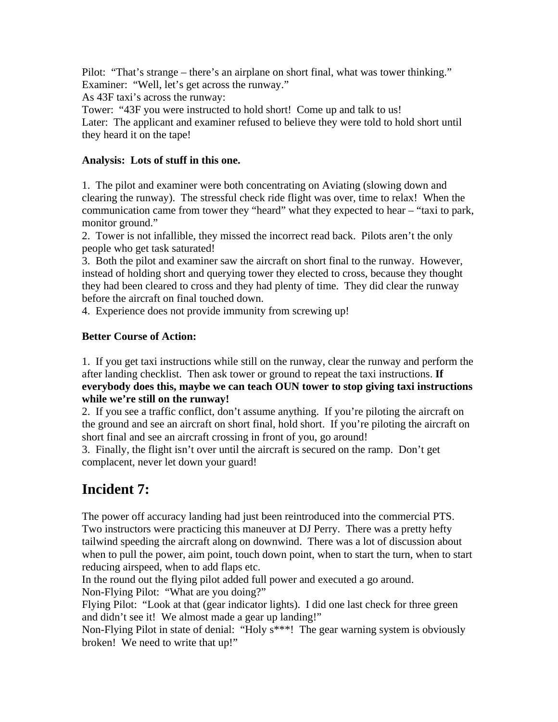Pilot: "That's strange – there's an airplane on short final, what was tower thinking." Examiner: "Well, let's get across the runway."

As 43F taxi's across the runway:

Tower: "43F you were instructed to hold short! Come up and talk to us! Later: The applicant and examiner refused to believe they were told to hold short until they heard it on the tape!

#### **Analysis: Lots of stuff in this one.**

1. The pilot and examiner were both concentrating on Aviating (slowing down and clearing the runway). The stressful check ride flight was over, time to relax! When the communication came from tower they "heard" what they expected to hear – "taxi to park, monitor ground."

2. Tower is not infallible, they missed the incorrect read back. Pilots aren't the only people who get task saturated!

3. Both the pilot and examiner saw the aircraft on short final to the runway. However, instead of holding short and querying tower they elected to cross, because they thought they had been cleared to cross and they had plenty of time. They did clear the runway before the aircraft on final touched down.

4. Experience does not provide immunity from screwing up!

### **Better Course of Action:**

1. If you get taxi instructions while still on the runway, clear the runway and perform the after landing checklist. Then ask tower or ground to repeat the taxi instructions. **If everybody does this, maybe we can teach OUN tower to stop giving taxi instructions while we're still on the runway!** 

2. If you see a traffic conflict, don't assume anything. If you're piloting the aircraft on the ground and see an aircraft on short final, hold short. If you're piloting the aircraft on short final and see an aircraft crossing in front of you, go around!

3. Finally, the flight isn't over until the aircraft is secured on the ramp. Don't get complacent, never let down your guard!

# **Incident 7:**

The power off accuracy landing had just been reintroduced into the commercial PTS. Two instructors were practicing this maneuver at DJ Perry. There was a pretty hefty tailwind speeding the aircraft along on downwind. There was a lot of discussion about when to pull the power, aim point, touch down point, when to start the turn, when to start reducing airspeed, when to add flaps etc.

In the round out the flying pilot added full power and executed a go around. Non-Flying Pilot: "What are you doing?"

Flying Pilot: "Look at that (gear indicator lights). I did one last check for three green and didn't see it! We almost made a gear up landing!"

Non-Flying Pilot in state of denial: "Holy s\*\*\*! The gear warning system is obviously broken! We need to write that up!"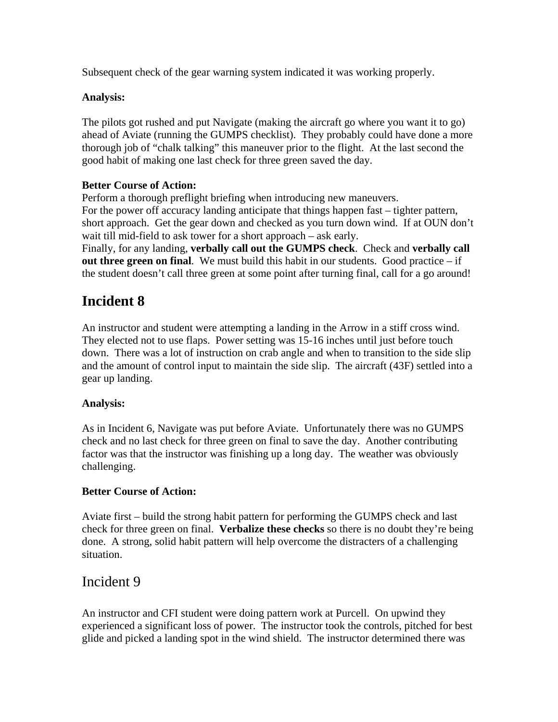Subsequent check of the gear warning system indicated it was working properly.

### **Analysis:**

The pilots got rushed and put Navigate (making the aircraft go where you want it to go) ahead of Aviate (running the GUMPS checklist). They probably could have done a more thorough job of "chalk talking" this maneuver prior to the flight. At the last second the good habit of making one last check for three green saved the day.

### **Better Course of Action:**

Perform a thorough preflight briefing when introducing new maneuvers. For the power off accuracy landing anticipate that things happen fast – tighter pattern, short approach. Get the gear down and checked as you turn down wind. If at OUN don't wait till mid-field to ask tower for a short approach – ask early. Finally, for any landing, **verbally call out the GUMPS check**. Check and **verbally call** 

**out three green on final.** We must build this habit in our students. Good practice – if the student doesn't call three green at some point after turning final, call for a go around!

# **Incident 8**

An instructor and student were attempting a landing in the Arrow in a stiff cross wind. They elected not to use flaps. Power setting was 15-16 inches until just before touch down. There was a lot of instruction on crab angle and when to transition to the side slip and the amount of control input to maintain the side slip. The aircraft (43F) settled into a gear up landing.

#### **Analysis:**

As in Incident 6, Navigate was put before Aviate. Unfortunately there was no GUMPS check and no last check for three green on final to save the day. Another contributing factor was that the instructor was finishing up a long day. The weather was obviously challenging.

### **Better Course of Action:**

Aviate first – build the strong habit pattern for performing the GUMPS check and last check for three green on final. **Verbalize these checks** so there is no doubt they're being done. A strong, solid habit pattern will help overcome the distracters of a challenging situation.

### Incident 9

An instructor and CFI student were doing pattern work at Purcell. On upwind they experienced a significant loss of power. The instructor took the controls, pitched for best glide and picked a landing spot in the wind shield. The instructor determined there was